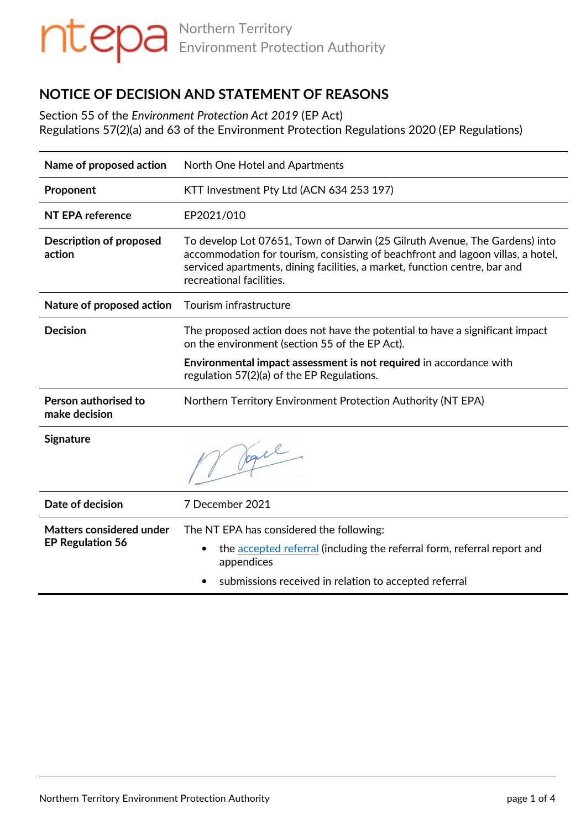# **NOTICE OF DECISION AND STATEMENT OF REASONS**

Section 55 of the *Environment Protection Act 2019* (EP Act) Regulations 57(2)(a) and 63 of the Environment Protection Regulations 2020 (EP Regulations)

| Name of proposed action                                    | North One Hotel and Apartments                                                                                                                                                                                                                                          |
|------------------------------------------------------------|-------------------------------------------------------------------------------------------------------------------------------------------------------------------------------------------------------------------------------------------------------------------------|
| Proponent                                                  | KTT Investment Pty Ltd (ACN 634 253 197)                                                                                                                                                                                                                                |
| NT EPA reference                                           | EP2021/010                                                                                                                                                                                                                                                              |
| <b>Description of proposed</b><br>action                   | To develop Lot 07651, Town of Darwin (25 Gilruth Avenue, The Gardens) into<br>accommodation for tourism, consisting of beachfront and lagoon villas, a hotel,<br>serviced apartments, dining facilities, a market, function centre, bar and<br>recreational facilities. |
| Nature of proposed action                                  | Tourism infrastructure                                                                                                                                                                                                                                                  |
| <b>Decision</b>                                            | The proposed action does not have the potential to have a significant impact<br>on the environment (section 55 of the EP Act).                                                                                                                                          |
|                                                            | Environmental impact assessment is not required in accordance with<br>regulation 57(2)(a) of the EP Regulations.                                                                                                                                                        |
| Person authorised to<br>make decision                      | Northern Territory Environment Protection Authority (NT EPA)                                                                                                                                                                                                            |
| <b>Signature</b>                                           | V Jogel                                                                                                                                                                                                                                                                 |
| Date of decision                                           | 7 December 2021                                                                                                                                                                                                                                                         |
| <b>Matters considered under</b><br><b>EP Regulation 56</b> | The NT EPA has considered the following:<br>the accepted referral (including the referral form, referral report and<br>appendices<br>submissions received in relation to accepted referral                                                                              |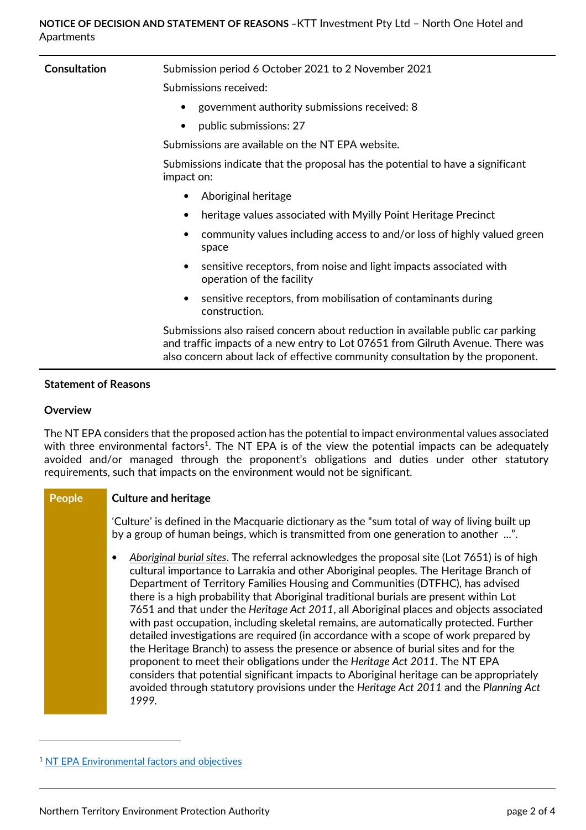| <b>Consultation</b> | Submission period 6 October 2021 to 2 November 2021                                                                                                                                                                                                |
|---------------------|----------------------------------------------------------------------------------------------------------------------------------------------------------------------------------------------------------------------------------------------------|
|                     | Submissions received:                                                                                                                                                                                                                              |
|                     | government authority submissions received: 8                                                                                                                                                                                                       |
|                     | public submissions: 27<br>$\bullet$                                                                                                                                                                                                                |
|                     | Submissions are available on the NT EPA website.                                                                                                                                                                                                   |
|                     | Submissions indicate that the proposal has the potential to have a significant<br>impact on:                                                                                                                                                       |
|                     | Aboriginal heritage<br>٠                                                                                                                                                                                                                           |
|                     | heritage values associated with Myilly Point Heritage Precinct<br>$\bullet$                                                                                                                                                                        |
|                     | community values including access to and/or loss of highly valued green<br>space                                                                                                                                                                   |
|                     | sensitive receptors, from noise and light impacts associated with<br>٠<br>operation of the facility                                                                                                                                                |
|                     | sensitive receptors, from mobilisation of contaminants during<br>construction.                                                                                                                                                                     |
|                     | Submissions also raised concern about reduction in available public car parking<br>and traffic impacts of a new entry to Lot 07651 from Gilruth Avenue. There was<br>also concern about lack of effective community consultation by the proponent. |
|                     |                                                                                                                                                                                                                                                    |

## **Statement of Reasons**

### **Overview**

 $\overline{a}$ 

The NT EPA considers that the proposed action has the potential to impact environmental values associated with three environmental factors<sup>1</sup>. The NT EPA is of the view the potential impacts can be adequately avoided and/or managed through the proponent's obligations and duties under other statutory requirements, such that impacts on the environment would not be significant.

### **People Culture and heritage**

'Culture' is defined in the Macquarie dictionary as the "sum total of way of living built up by a group of human beings, which is transmitted from one generation to another ...".

• *Aboriginal burial sites*. The referral acknowledges the proposal site (Lot 7651) is of high cultural importance to Larrakia and other Aboriginal peoples. The Heritage Branch of Department of Territory Families Housing and Communities (DTFHC), has advised there is a high probability that Aboriginal traditional burials are present within Lot 7651 and that under the *Heritage Act 2011*, all Aboriginal places and objects associated with past occupation, including skeletal remains, are automatically protected. Further detailed investigations are required (in accordance with a scope of work prepared by the Heritage Branch) to assess the presence or absence of burial sites and for the proponent to meet their obligations under the *Heritage Act 2011*. The NT EPA considers that potential significant impacts to Aboriginal heritage can be appropriately avoided through statutory provisions under the *Heritage Act 2011* and the *Planning Act 1999.*

<sup>&</sup>lt;sup>1</sup> NT EPA Environmental factors and objectives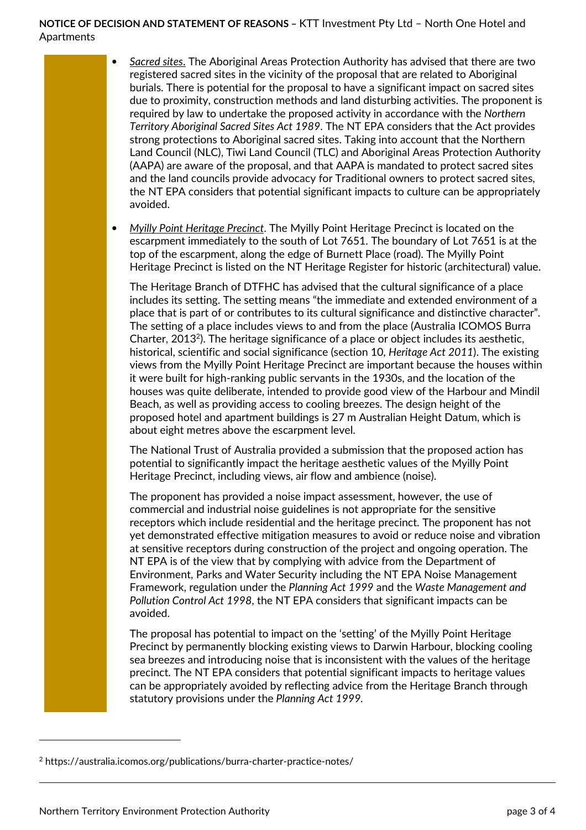**NOTICE OF DECISION AND STATEMENT OF REASONS –** KTT Investment Pty Ltd – North One Hotel and Apartments

- *Sacred sites*. The Aboriginal Areas Protection Authority has advised that there are two registered sacred sites in the vicinity of the proposal that are related to Aboriginal burials. There is potential for the proposal to have a significant impact on sacred sites due to proximity, construction methods and land disturbing activities. The proponent is required by law to undertake the proposed activity in accordance with the *Northern Territory Aboriginal Sacred Sites Act 1989*. The NT EPA considers that the Act provides strong protections to Aboriginal sacred sites. Taking into account that the Northern Land Council (NLC), Tiwi Land Council (TLC) and Aboriginal Areas Protection Authority (AAPA) are aware of the proposal, and that AAPA is mandated to protect sacred sites and the land councils provide advocacy for Traditional owners to protect sacred sites, the NT EPA considers that potential significant impacts to culture can be appropriately avoided.
- *Myilly Point Heritage Precinct*. The Myilly Point Heritage Precinct is located on the escarpment immediately to the south of Lot 7651. The boundary of Lot 7651 is at the top of the escarpment, along the edge of Burnett Place (road). The Myilly Point Heritage Precinct is listed on the NT Heritage Register for historic (architectural) value.

The Heritage Branch of DTFHC has advised that the cultural significance of a place includes its setting. The setting means "the immediate and extended environment of a place that is part of or contributes to its cultural significance and distinctive character". The setting of a place includes views to and from the place (Australia ICOMOS Burra Charter, 2013<sup>2</sup> ). The heritage significance of a place or object includes its aesthetic, historical, scientific and social significance (section 10, *Heritage Act 2011*). The existing views from the Myilly Point Heritage Precinct are important because the houses within it were built for high-ranking public servants in the 1930s, and the location of the houses was quite deliberate, intended to provide good view of the Harbour and Mindil Beach, as well as providing access to cooling breezes. The design height of the proposed hotel and apartment buildings is 27 m Australian Height Datum, which is about eight metres above the escarpment level.

The National Trust of Australia provided a submission that the proposed action has potential to significantly impact the heritage aesthetic values of the Myilly Point Heritage Precinct, including views, air flow and ambience (noise).

The proponent has provided a noise impact assessment, however, the use of commercial and industrial noise guidelines is not appropriate for the sensitive receptors which include residential and the heritage precinct. The proponent has not yet demonstrated effective mitigation measures to avoid or reduce noise and vibration at sensitive receptors during construction of the project and ongoing operation. The NT EPA is of the view that by complying with advice from the Department of Environment, Parks and Water Security including the NT EPA Noise Management Framework, regulation under the *Planning Act 1999* and the *Waste Management and Pollution Control Act 1998*, the NT EPA considers that significant impacts can be avoided.

The proposal has potential to impact on the 'setting' of the Myilly Point Heritage Precinct by permanently blocking existing views to Darwin Harbour, blocking cooling sea breezes and introducing noise that is inconsistent with the values of the heritage precinct. The NT EPA considers that potential significant impacts to heritage values can be appropriately avoided by reflecting advice from the Heritage Branch through statutory provisions under the *Planning Act 1999.*

 $\overline{a}$ 

<sup>&</sup>lt;sup>2</sup> https://australia.icomos.org/publications/burra-charter-practice-notes/